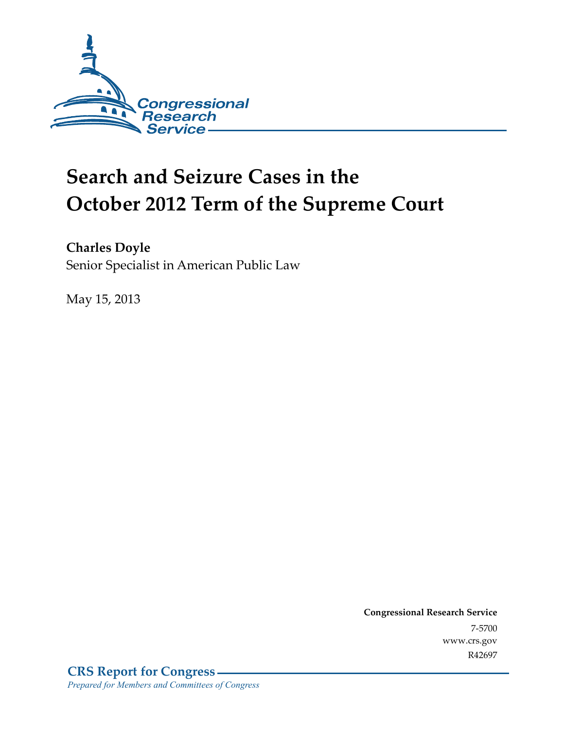

# **Search and Seizure Cases in the October 2012 Term of the Supreme Court**

**Charles Doyle** 

Senior Specialist in American Public Law

May 15, 2013

**Congressional Research Service**  7-5700 www.crs.gov R42697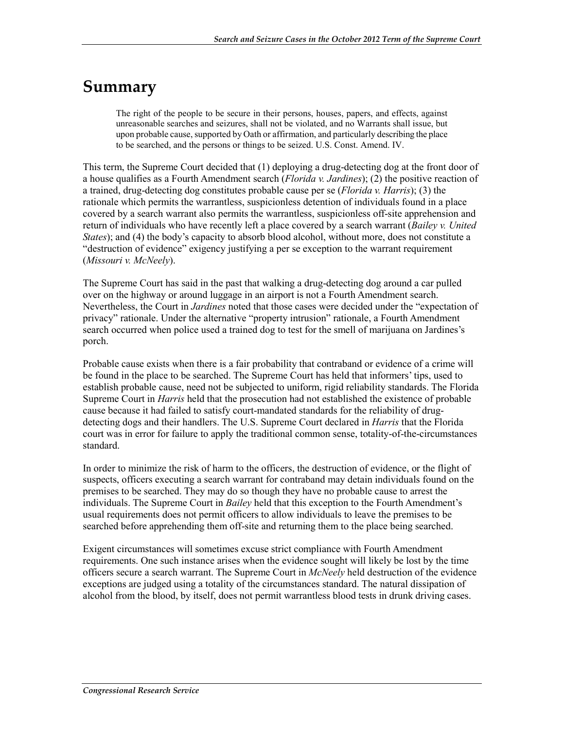### **Summary**

The right of the people to be secure in their persons, houses, papers, and effects, against unreasonable searches and seizures, shall not be violated, and no Warrants shall issue, but upon probable cause, supported by Oath or affirmation, and particularly describing the place to be searched, and the persons or things to be seized. U.S. Const. Amend. IV.

This term, the Supreme Court decided that (1) deploying a drug-detecting dog at the front door of a house qualifies as a Fourth Amendment search (*Florida v. Jardines*); (2) the positive reaction of a trained, drug-detecting dog constitutes probable cause per se (*Florida v. Harris*); (3) the rationale which permits the warrantless, suspicionless detention of individuals found in a place covered by a search warrant also permits the warrantless, suspicionless off-site apprehension and return of individuals who have recently left a place covered by a search warrant (*Bailey v. United States*); and (4) the body's capacity to absorb blood alcohol, without more, does not constitute a "destruction of evidence" exigency justifying a per se exception to the warrant requirement (*Missouri v. McNeely*).

The Supreme Court has said in the past that walking a drug-detecting dog around a car pulled over on the highway or around luggage in an airport is not a Fourth Amendment search. Nevertheless, the Court in *Jardines* noted that those cases were decided under the "expectation of privacy" rationale. Under the alternative "property intrusion" rationale, a Fourth Amendment search occurred when police used a trained dog to test for the smell of marijuana on Jardines's porch.

Probable cause exists when there is a fair probability that contraband or evidence of a crime will be found in the place to be searched. The Supreme Court has held that informers' tips, used to establish probable cause, need not be subjected to uniform, rigid reliability standards. The Florida Supreme Court in *Harris* held that the prosecution had not established the existence of probable cause because it had failed to satisfy court-mandated standards for the reliability of drugdetecting dogs and their handlers. The U.S. Supreme Court declared in *Harris* that the Florida court was in error for failure to apply the traditional common sense, totality-of-the-circumstances standard.

In order to minimize the risk of harm to the officers, the destruction of evidence, or the flight of suspects, officers executing a search warrant for contraband may detain individuals found on the premises to be searched. They may do so though they have no probable cause to arrest the individuals. The Supreme Court in *Bailey* held that this exception to the Fourth Amendment's usual requirements does not permit officers to allow individuals to leave the premises to be searched before apprehending them off-site and returning them to the place being searched.

Exigent circumstances will sometimes excuse strict compliance with Fourth Amendment requirements. One such instance arises when the evidence sought will likely be lost by the time officers secure a search warrant. The Supreme Court in *McNeely* held destruction of the evidence exceptions are judged using a totality of the circumstances standard. The natural dissipation of alcohol from the blood, by itself, does not permit warrantless blood tests in drunk driving cases.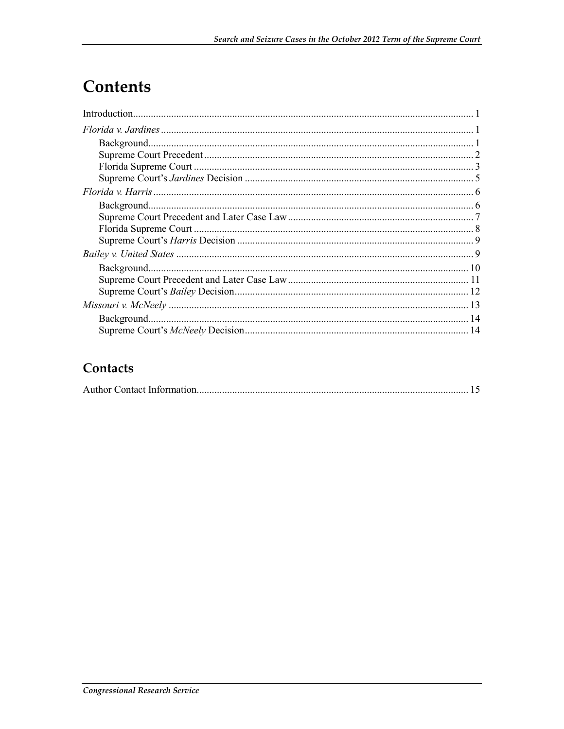# **Contents**

#### Contacts

|--|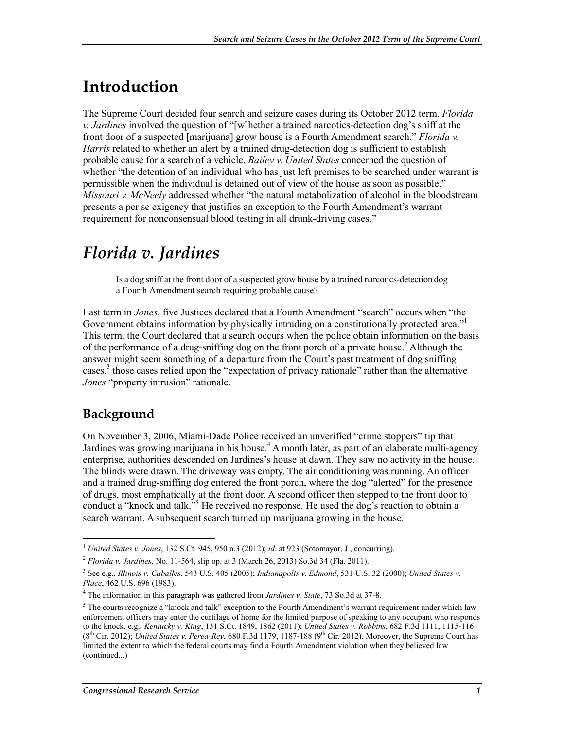# **Introduction**

The Supreme Court decided four search and seizure cases during its October 2012 term. *Florida v. Jardines* involved the question of "[w]hether a trained narcotics-detection dog's sniff at the front door of a suspected [marijuana] grow house is a Fourth Amendment search." *Florida v. Harris* related to whether an alert by a trained drug-detection dog is sufficient to establish probable cause for a search of a vehicle. *Bailey v. United States* concerned the question of whether "the detention of an individual who has just left premises to be searched under warrant is permissible when the individual is detained out of view of the house as soon as possible." *Missouri v. McNeely* addressed whether "the natural metabolization of alcohol in the bloodstream presents a per se exigency that justifies an exception to the Fourth Amendment's warrant requirement for nonconsensual blood testing in all drunk-driving cases."

# *Florida v. Jardines*

Is a dog sniff at the front door of a suspected grow house by a trained narcotics-detection dog a Fourth Amendment search requiring probable cause?

Last term in *Jones*, five Justices declared that a Fourth Amendment "search" occurs when "the Government obtains information by physically intruding on a constitutionally protected area."<sup>1</sup> This term, the Court declared that a search occurs when the police obtain information on the basis of the performance of a drug-sniffing dog on the front porch of a private house.<sup>2</sup> Although the answer might seem something of a departure from the Court's past treatment of dog sniffing cases,<sup>3</sup> those cases relied upon the "expectation of privacy rationale" rather than the alternative *Jones* "property intrusion" rationale.

#### **Background**

1

On November 3, 2006, Miami-Dade Police received an unverified "crime stoppers" tip that Jardines was growing marijuana in his house.<sup>4</sup> A month later, as part of an elaborate multi-agency enterprise, authorities descended on Jardines's house at dawn. They saw no activity in the house. The blinds were drawn. The driveway was empty. The air conditioning was running. An officer and a trained drug-sniffing dog entered the front porch, where the dog "alerted" for the presence of drugs, most emphatically at the front door. A second officer then stepped to the front door to conduct a "knock and talk."<sup>5</sup> He received no response. He used the dog's reaction to obtain a search warrant. A subsequent search turned up marijuana growing in the house.

<sup>1</sup> *United States v. Jones*, 132 S.Ct. 945, 950 n.3 (2012); *id.* at 923 (Sotomayor, J., concurring).

<sup>2</sup> *Florida v. Jardines*, No. 11-564, slip op. at 3 (March 26, 2013) So.3d 34 (Fla. 2011).

<sup>3</sup> See e.g., *Illinois v. Caballes*, 543 U.S. 405 (2005); *Indianapolis v. Edmond*, 531 U.S. 32 (2000); *United States v. Place*, 462 U.S. 696 (1983).

<sup>4</sup> The information in this paragraph was gathered from *Jardines v. State*, 73 So.3d at 37-8.

<sup>&</sup>lt;sup>5</sup> The courts recognize a "knock and talk" exception to the Fourth Amendment's warrant requirement under which law enforcement officers may enter the curtilage of home for the limited purpose of speaking to any occupant who responds to the knock, e.g., *Kentucky v. King*, 131 S.Ct. 1849, 1862 (2011); *United States v. Robbins*, 682 F.3d 1111, 1115-116 (8th Cir. 2012); *United States v. Perea-Rey*, 680 F.3d 1179, 1187-188 (9th Cir. 2012). Moreover, the Supreme Court has limited the extent to which the federal courts may find a Fourth Amendment violation when they believed law (continued...)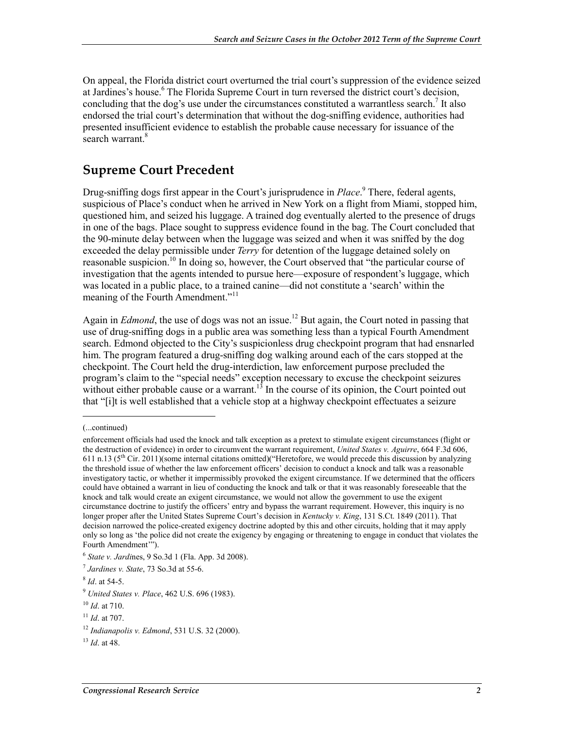On appeal, the Florida district court overturned the trial court's suppression of the evidence seized at Jardines's house.<sup>6</sup> The Florida Supreme Court in turn reversed the district court's decision, concluding that the dog's use under the circumstances constituted a warrantless search.<sup>7</sup> It also endorsed the trial court's determination that without the dog-sniffing evidence, authorities had presented insufficient evidence to establish the probable cause necessary for issuance of the search warrant.<sup>8</sup>

#### **Supreme Court Precedent**

Drug-sniffing dogs first appear in the Court's jurisprudence in *Place*.<sup>9</sup> There, federal agents, suspicious of Place's conduct when he arrived in New York on a flight from Miami, stopped him, questioned him, and seized his luggage. A trained dog eventually alerted to the presence of drugs in one of the bags. Place sought to suppress evidence found in the bag. The Court concluded that the 90-minute delay between when the luggage was seized and when it was sniffed by the dog exceeded the delay permissible under *Terry* for detention of the luggage detained solely on reasonable suspicion.<sup>10</sup> In doing so, however, the Court observed that "the particular course of investigation that the agents intended to pursue here—exposure of respondent's luggage, which was located in a public place, to a trained canine—did not constitute a 'search' within the meaning of the Fourth Amendment."<sup>11</sup>

Again in *Edmond*, the use of dogs was not an issue.<sup>12</sup> But again, the Court noted in passing that use of drug-sniffing dogs in a public area was something less than a typical Fourth Amendment search. Edmond objected to the City's suspicionless drug checkpoint program that had ensnarled him. The program featured a drug-sniffing dog walking around each of the cars stopped at the checkpoint. The Court held the drug-interdiction, law enforcement purpose precluded the program's claim to the "special needs" exception necessary to excuse the checkpoint seizures without either probable cause or a warrant.<sup>13</sup> In the course of its opinion, the Court pointed out that "[i]t is well established that a vehicle stop at a highway checkpoint effectuates a seizure

<sup>(...</sup>continued)

enforcement officials had used the knock and talk exception as a pretext to stimulate exigent circumstances (flight or the destruction of evidence) in order to circumvent the warrant requirement, *United States v. Aguirre*, 664 F.3d 606, 611 n.13 ( $5<sup>th</sup>$  Cir. 2011)(some internal citations omitted)("Heretofore, we would precede this discussion by analyzing the threshold issue of whether the law enforcement officers' decision to conduct a knock and talk was a reasonable investigatory tactic, or whether it impermissibly provoked the exigent circumstance. If we determined that the officers could have obtained a warrant in lieu of conducting the knock and talk or that it was reasonably foreseeable that the knock and talk would create an exigent circumstance, we would not allow the government to use the exigent circumstance doctrine to justify the officers' entry and bypass the warrant requirement. However, this inquiry is no longer proper after the United States Supreme Court's decision in *Kentucky v. King*, 131 S.Ct. 1849 (2011). That decision narrowed the police-created exigency doctrine adopted by this and other circuits, holding that it may apply only so long as 'the police did not create the exigency by engaging or threatening to engage in conduct that violates the Fourth Amendment'").

<sup>6</sup> *State v. Jardi*nes, 9 So.3d 1 (Fla. App. 3d 2008).

<sup>7</sup> *Jardines v. State*, 73 So.3d at 55-6.

<sup>8</sup> *Id*. at 54-5.

<sup>9</sup> *United States v. Place*, 462 U.S. 696 (1983).

<sup>10</sup> *Id*. at 710.

<sup>11</sup> *Id*. at 707.

<sup>12</sup> *Indianapolis v. Edmond*, 531 U.S. 32 (2000).

<sup>13</sup> *Id*. at 48.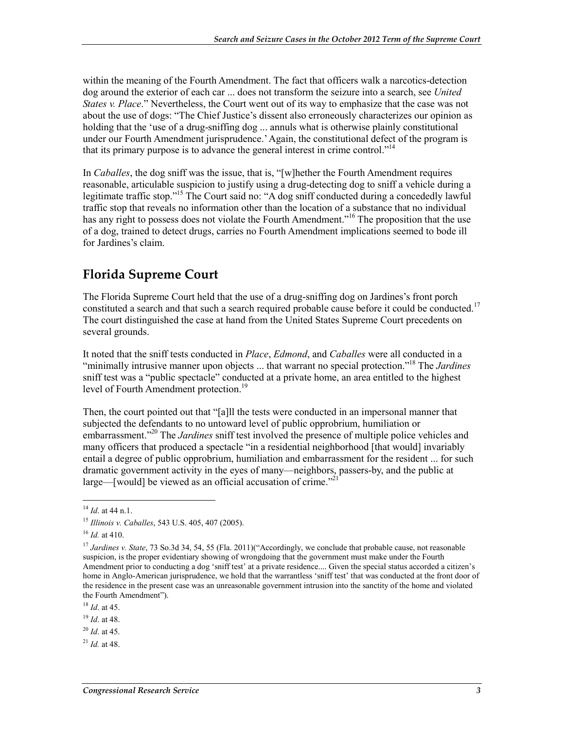within the meaning of the Fourth Amendment. The fact that officers walk a narcotics-detection dog around the exterior of each car ... does not transform the seizure into a search, see *United States v. Place*." Nevertheless, the Court went out of its way to emphasize that the case was not about the use of dogs: "The Chief Justice's dissent also erroneously characterizes our opinion as holding that the 'use of a drug-sniffing dog ... annuls what is otherwise plainly constitutional under our Fourth Amendment jurisprudence.' Again, the constitutional defect of the program is that its primary purpose is to advance the general interest in crime control."<sup>14</sup>

In *Caballes*, the dog sniff was the issue, that is, "[w]hether the Fourth Amendment requires reasonable, articulable suspicion to justify using a drug-detecting dog to sniff a vehicle during a legitimate traffic stop."15 The Court said no: "A dog sniff conducted during a concededly lawful traffic stop that reveals no information other than the location of a substance that no individual has any right to possess does not violate the Fourth Amendment.<sup>"16</sup> The proposition that the use of a dog, trained to detect drugs, carries no Fourth Amendment implications seemed to bode ill for Jardines's claim.

#### **Florida Supreme Court**

The Florida Supreme Court held that the use of a drug-sniffing dog on Jardines's front porch constituted a search and that such a search required probable cause before it could be conducted.<sup>17</sup> The court distinguished the case at hand from the United States Supreme Court precedents on several grounds.

It noted that the sniff tests conducted in *Place*, *Edmond*, and *Caballes* were all conducted in a "minimally intrusive manner upon objects ... that warrant no special protection."18 The *Jardines* sniff test was a "public spectacle" conducted at a private home, an area entitled to the highest level of Fourth Amendment protection.<sup>19</sup>

Then, the court pointed out that "[a]ll the tests were conducted in an impersonal manner that subjected the defendants to no untoward level of public opprobrium, humiliation or embarrassment."20 The *Jardines* sniff test involved the presence of multiple police vehicles and many officers that produced a spectacle "in a residential neighborhood [that would] invariably entail a degree of public opprobrium, humiliation and embarrassment for the resident ... for such dramatic government activity in the eyes of many—neighbors, passers-by, and the public at large—[would] be viewed as an official accusation of crime."<sup>21</sup>

1

<sup>19</sup> *Id*. at 48.

<sup>20</sup> *Id*. at 45.

<sup>21</sup> *Id.* at 48.

<sup>14</sup> *Id*. at 44 n.1.

<sup>15</sup> *Illinois v. Caballes*, 543 U.S. 405, 407 (2005).

<sup>16</sup> *Id.* at 410.

<sup>&</sup>lt;sup>17</sup> *Jardines v. State*, 73 So.3d 34, 54, 55 (Fla. 2011)("Accordingly, we conclude that probable cause, not reasonable suspicion, is the proper evidentiary showing of wrongdoing that the government must make under the Fourth Amendment prior to conducting a dog 'sniff test' at a private residence.... Given the special status accorded a citizen's home in Anglo-American jurisprudence, we hold that the warrantless 'sniff test' that was conducted at the front door of the residence in the present case was an unreasonable government intrusion into the sanctity of the home and violated the Fourth Amendment").

<sup>18</sup> *Id*. at 45.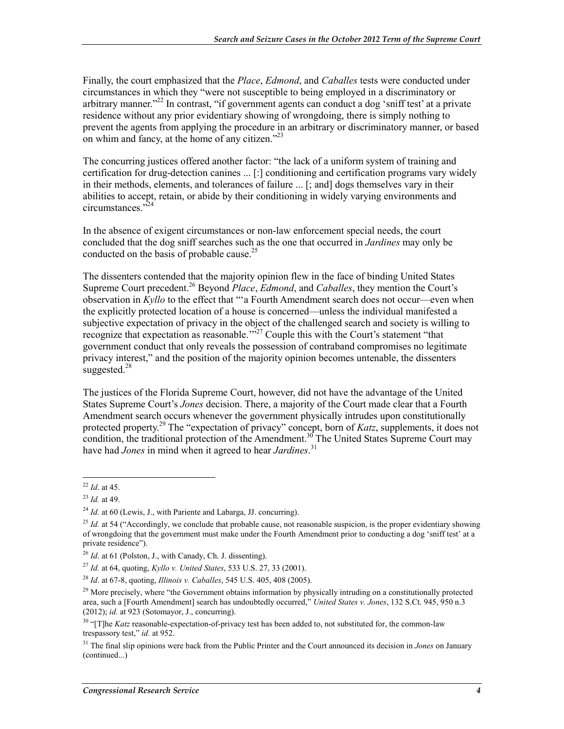Finally, the court emphasized that the *Place*, *Edmond*, and *Caballes* tests were conducted under circumstances in which they "were not susceptible to being employed in a discriminatory or arbitrary manner.<sup>"22</sup> In contrast, "if government agents can conduct a dog 'sniff test' at a private residence without any prior evidentiary showing of wrongdoing, there is simply nothing to prevent the agents from applying the procedure in an arbitrary or discriminatory manner, or based on whim and fancy, at the home of any citizen."<sup>23</sup>

The concurring justices offered another factor: "the lack of a uniform system of training and certification for drug-detection canines ... [:] conditioning and certification programs vary widely in their methods, elements, and tolerances of failure ... [; and] dogs themselves vary in their abilities to accept, retain, or abide by their conditioning in widely varying environments and circumstances."<sup>24</sup>

In the absence of exigent circumstances or non-law enforcement special needs, the court concluded that the dog sniff searches such as the one that occurred in *Jardines* may only be conducted on the basis of probable cause.<sup>25</sup>

The dissenters contended that the majority opinion flew in the face of binding United States Supreme Court precedent.<sup>26</sup> Beyond *Place, Edmond*, and *Caballes*, they mention the Court's observation in *Kyllo* to the effect that "'a Fourth Amendment search does not occur—even when the explicitly protected location of a house is concerned—unless the individual manifested a subjective expectation of privacy in the object of the challenged search and society is willing to recognize that expectation as reasonable."<sup>527</sup> Couple this with the Court's statement "that government conduct that only reveals the possession of contraband compromises no legitimate privacy interest," and the position of the majority opinion becomes untenable, the dissenters suggested. $^{28}$ 

The justices of the Florida Supreme Court, however, did not have the advantage of the United States Supreme Court's *Jones* decision. There, a majority of the Court made clear that a Fourth Amendment search occurs whenever the government physically intrudes upon constitutionally protected property.29 The "expectation of privacy" concept, born of *Katz*, supplements, it does not condition, the traditional protection of the Amendment.<sup>30</sup> The United States Supreme Court may have had *Jones* in mind when it agreed to hear *Jardines*. 31

<sup>22</sup> *Id*. at 45.

<sup>23</sup> *Id.* at 49.

<sup>&</sup>lt;sup>24</sup> *Id.* at 60 (Lewis, J., with Pariente and Labarga, JJ. concurring).

<sup>&</sup>lt;sup>25</sup> *Id.* at 54 ("Accordingly, we conclude that probable cause, not reasonable suspicion, is the proper evidentiary showing of wrongdoing that the government must make under the Fourth Amendment prior to conducting a dog 'sniff test' at a private residence").

<sup>26</sup> *Id*. at 61 (Polston, J., with Canady, Ch. J. dissenting).

<sup>27</sup> *Id.* at 64, quoting, *Kyllo v. United States*, 533 U.S. 27, 33 (2001).

<sup>28</sup> *Id*. at 67-8, quoting, *Illinois v. Caballes*, 545 U.S. 405, 408 (2005).

 $29$  More precisely, where "the Government obtains information by physically intruding on a constitutionally protected area, such a [Fourth Amendment] search has undoubtedly occurred," *United States v. Jones*, 132 S.Ct. 945, 950 n.3 (2012); *id.* at 923 (Sotomayor, J., concurring).

<sup>&</sup>lt;sup>30</sup> "[T]he *Katz* reasonable-expectation-of-privacy test has been added to, not substituted for, the common-law trespassory test," *id.* at 952.

<sup>31</sup> The final slip opinions were back from the Public Printer and the Court announced its decision in *Jones* on January (continued...)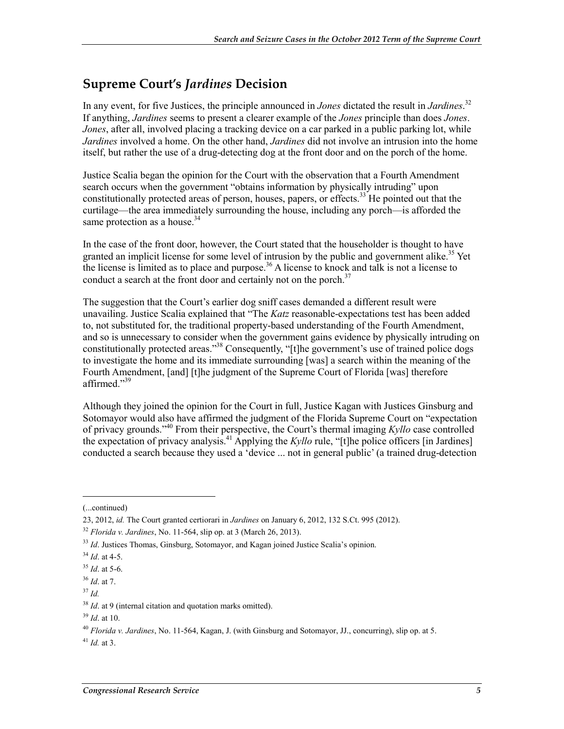#### **Supreme Court's** *Jardines* **Decision**

In any event, for five Justices, the principle announced in *Jones* dictated the result in *Jardines*. 32 If anything, *Jardines* seems to present a clearer example of the *Jones* principle than does *Jones*. *Jones*, after all, involved placing a tracking device on a car parked in a public parking lot, while *Jardines* involved a home. On the other hand, *Jardines* did not involve an intrusion into the home itself, but rather the use of a drug-detecting dog at the front door and on the porch of the home.

Justice Scalia began the opinion for the Court with the observation that a Fourth Amendment search occurs when the government "obtains information by physically intruding" upon constitutionally protected areas of person, houses, papers, or effects.<sup>33</sup> He pointed out that the curtilage—the area immediately surrounding the house, including any porch—is afforded the same protection as a house.<sup>34</sup>

In the case of the front door, however, the Court stated that the householder is thought to have granted an implicit license for some level of intrusion by the public and government alike.<sup>35</sup> Yet the license is limited as to place and purpose.<sup>36</sup> A license to knock and talk is not a license to conduct a search at the front door and certainly not on the porch.<sup>37</sup>

The suggestion that the Court's earlier dog sniff cases demanded a different result were unavailing. Justice Scalia explained that "The *Katz* reasonable-expectations test has been added to, not substituted for, the traditional property-based understanding of the Fourth Amendment, and so is unnecessary to consider when the government gains evidence by physically intruding on constitutionally protected areas."<sup>38</sup> Consequently, "[t]he government's use of trained police dogs to investigate the home and its immediate surrounding [was] a search within the meaning of the Fourth Amendment, [and] [t]he judgment of the Supreme Court of Florida [was] therefore affirmed."<sup>39</sup>

Although they joined the opinion for the Court in full, Justice Kagan with Justices Ginsburg and Sotomayor would also have affirmed the judgment of the Florida Supreme Court on "expectation of privacy grounds."40 From their perspective, the Court's thermal imaging *Kyllo* case controlled the expectation of privacy analysis.<sup>41</sup> Applying the *Kyllo* rule, "[t]he police officers [in Jardines] conducted a search because they used a 'device ... not in general public' (a trained drug-detection

1

 $^{41}$  *Id.* at 3.

<sup>(...</sup>continued)

<sup>23, 2012,</sup> *id.* The Court granted certiorari in *Jardines* on January 6, 2012, 132 S.Ct. 995 (2012).

<sup>32</sup> *Florida v. Jardines*, No. 11-564, slip op. at 3 (March 26, 2013).

<sup>&</sup>lt;sup>33</sup> *Id.* Justices Thomas, Ginsburg, Sotomayor, and Kagan joined Justice Scalia's opinion.

<sup>34</sup> *Id*. at 4-5.

<sup>35</sup> *Id*. at 5-6.

<sup>36</sup> *Id*. at 7.

<sup>37</sup> *Id.*

<sup>38</sup> *Id*. at 9 (internal citation and quotation marks omitted).

<sup>39</sup> *Id*. at 10.

<sup>40</sup> *Florida v. Jardines*, No. 11-564, Kagan, J. (with Ginsburg and Sotomayor, JJ., concurring), slip op. at 5.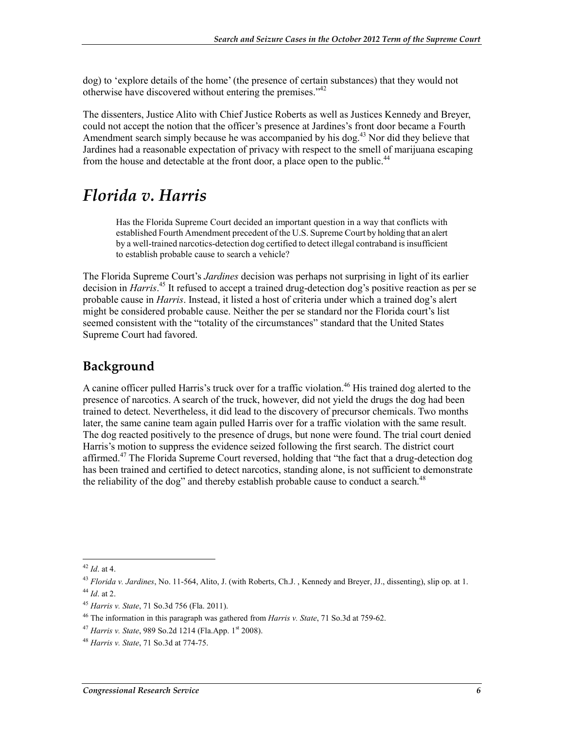dog) to 'explore details of the home' (the presence of certain substances) that they would not otherwise have discovered without entering the premises."42

The dissenters, Justice Alito with Chief Justice Roberts as well as Justices Kennedy and Breyer, could not accept the notion that the officer's presence at Jardines's front door became a Fourth Amendment search simply because he was accompanied by his dog.<sup>43</sup> Nor did they believe that Jardines had a reasonable expectation of privacy with respect to the smell of marijuana escaping from the house and detectable at the front door, a place open to the public.<sup>44</sup>

### *Florida v. Harris*

Has the Florida Supreme Court decided an important question in a way that conflicts with established Fourth Amendment precedent of the U.S. Supreme Court by holding that an alert by a well-trained narcotics-detection dog certified to detect illegal contraband is insufficient to establish probable cause to search a vehicle?

The Florida Supreme Court's *Jardines* decision was perhaps not surprising in light of its earlier decision in *Harris*. 45 It refused to accept a trained drug-detection dog's positive reaction as per se probable cause in *Harris*. Instead, it listed a host of criteria under which a trained dog's alert might be considered probable cause. Neither the per se standard nor the Florida court's list seemed consistent with the "totality of the circumstances" standard that the United States Supreme Court had favored.

#### **Background**

A canine officer pulled Harris's truck over for a traffic violation.<sup>46</sup> His trained dog alerted to the presence of narcotics. A search of the truck, however, did not yield the drugs the dog had been trained to detect. Nevertheless, it did lead to the discovery of precursor chemicals. Two months later, the same canine team again pulled Harris over for a traffic violation with the same result. The dog reacted positively to the presence of drugs, but none were found. The trial court denied Harris's motion to suppress the evidence seized following the first search. The district court affirmed.<sup>47</sup> The Florida Supreme Court reversed, holding that "the fact that a drug-detection dog has been trained and certified to detect narcotics, standing alone, is not sufficient to demonstrate the reliability of the dog" and thereby establish probable cause to conduct a search. $48$ 

<sup>1</sup> <sup>42</sup> *Id*. at 4.

<sup>43</sup> *Florida v. Jardines*, No. 11-564, Alito, J. (with Roberts, Ch.J. , Kennedy and Breyer, JJ., dissenting), slip op. at 1.

<sup>44</sup> *Id*. at 2.

<sup>45</sup> *Harris v. State*, 71 So.3d 756 (Fla. 2011).

<sup>46</sup> The information in this paragraph was gathered from *Harris v. State*, 71 So.3d at 759-62.

<sup>47</sup> *Harris v. State*, 989 So.2d 1214 (Fla.App. 1st 2008).

<sup>48</sup> *Harris v. State*, 71 So.3d at 774-75.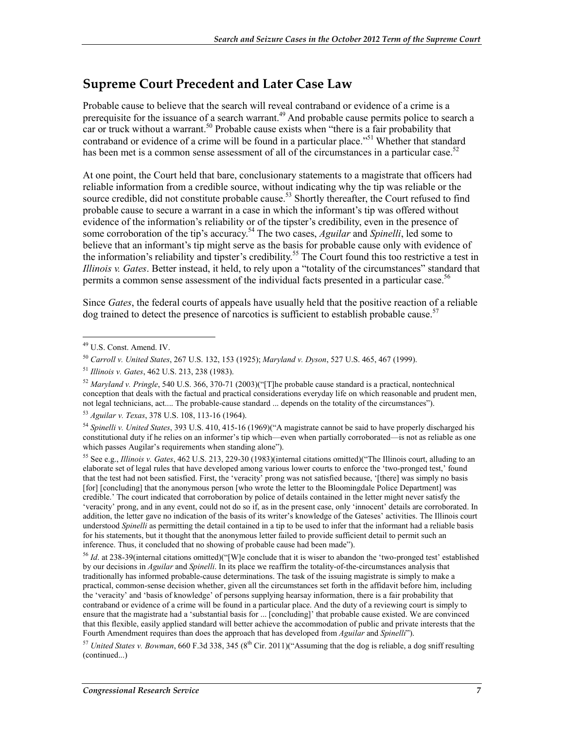#### **Supreme Court Precedent and Later Case Law**

Probable cause to believe that the search will reveal contraband or evidence of a crime is a prerequisite for the issuance of a search warrant.<sup>49</sup> And probable cause permits police to search a car or truck without a warrant.<sup>50</sup> Probable cause exists when "there is a fair probability that contraband or evidence of a crime will be found in a particular place."<sup>51</sup> Whether that standard has been met is a common sense assessment of all of the circumstances in a particular case.<sup>52</sup>

At one point, the Court held that bare, conclusionary statements to a magistrate that officers had reliable information from a credible source, without indicating why the tip was reliable or the source credible, did not constitute probable cause.<sup>53</sup> Shortly thereafter, the Court refused to find probable cause to secure a warrant in a case in which the informant's tip was offered without evidence of the information's reliability or of the tipster's credibility, even in the presence of some corroboration of the tip's accuracy.<sup>54</sup> The two cases, *Aguilar* and *Spinelli*, led some to believe that an informant's tip might serve as the basis for probable cause only with evidence of the information's reliability and tipster's credibility.<sup>55</sup> The Court found this too restrictive a test in *Illinois v. Gates*. Better instead, it held, to rely upon a "totality of the circumstances" standard that permits a common sense assessment of the individual facts presented in a particular case.<sup>56</sup>

Since *Gates*, the federal courts of appeals have usually held that the positive reaction of a reliable dog trained to detect the presence of narcotics is sufficient to establish probable cause.<sup>57</sup>

<sup>53</sup> *Aguilar v. Texas*, 378 U.S. 108, 113-16 (1964).

<sup>54</sup> *Spinelli v. United States*, 393 U.S. 410, 415-16 (1969)("A magistrate cannot be said to have properly discharged his constitutional duty if he relies on an informer's tip which—even when partially corroborated—is not as reliable as one which passes Augilar's requirements when standing alone").

55 See e.g., *Illinois v. Gates*, 462 U.S. 213, 229-30 (1983)(internal citations omitted)("The Illinois court, alluding to an elaborate set of legal rules that have developed among various lower courts to enforce the 'two-pronged test,' found that the test had not been satisfied. First, the 'veracity' prong was not satisfied because, '[there] was simply no basis [for] [concluding] that the anonymous person [who wrote the letter to the Bloomingdale Police Department] was credible.' The court indicated that corroboration by police of details contained in the letter might never satisfy the 'veracity' prong, and in any event, could not do so if, as in the present case, only 'innocent' details are corroborated. In addition, the letter gave no indication of the basis of its writer's knowledge of the Gateses' activities. The Illinois court understood *Spinelli* as permitting the detail contained in a tip to be used to infer that the informant had a reliable basis for his statements, but it thought that the anonymous letter failed to provide sufficient detail to permit such an inference. Thus, it concluded that no showing of probable cause had been made").

<sup>56</sup> *Id.* at 238-39(internal citations omitted)("[W]e conclude that it is wiser to abandon the 'two-pronged test' established by our decisions in *Aguilar* and *Spinelli*. In its place we reaffirm the totality-of-the-circumstances analysis that traditionally has informed probable-cause determinations. The task of the issuing magistrate is simply to make a practical, common-sense decision whether, given all the circumstances set forth in the affidavit before him, including the 'veracity' and 'basis of knowledge' of persons supplying hearsay information, there is a fair probability that contraband or evidence of a crime will be found in a particular place. And the duty of a reviewing court is simply to ensure that the magistrate had a 'substantial basis for ... [concluding]' that probable cause existed. We are convinced that this flexible, easily applied standard will better achieve the accommodation of public and private interests that the Fourth Amendment requires than does the approach that has developed from *Aguilar* and *Spinelli*").

<sup>1</sup> 49 U.S. Const. Amend. IV.

<sup>50</sup> *Carroll v. United States*, 267 U.S. 132, 153 (1925); *Maryland v. Dyson*, 527 U.S. 465, 467 (1999).

<sup>51</sup> *Illinois v. Gates*, 462 U.S. 213, 238 (1983).

<sup>52</sup> *Maryland v. Pringle*, 540 U.S. 366, 370-71 (2003)("[T]he probable cause standard is a practical, nontechnical conception that deals with the factual and practical considerations everyday life on which reasonable and prudent men, not legal technicians, act.... The probable-cause standard ... depends on the totality of the circumstances").

<sup>&</sup>lt;sup>57</sup> *United States v. Bowman*, 660 F.3d 338, 345 (8<sup>th</sup> Cir. 2011)("Assuming that the dog is reliable, a dog sniff resulting (continued...)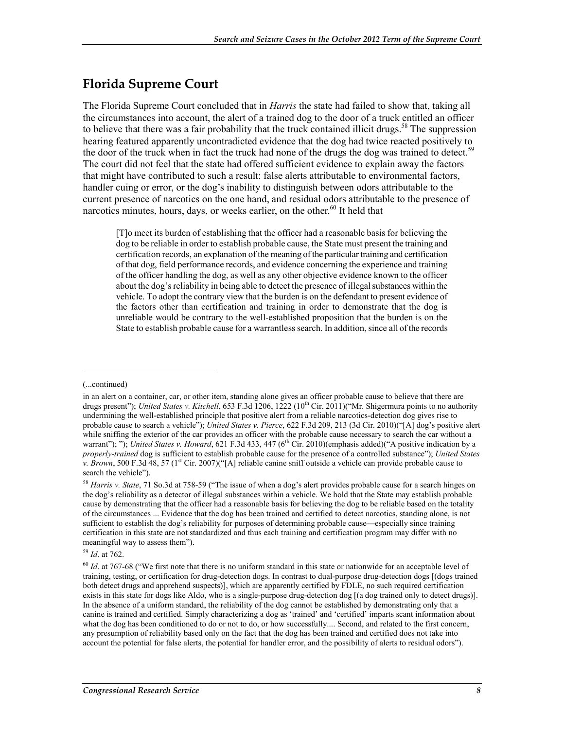#### **Florida Supreme Court**

The Florida Supreme Court concluded that in *Harris* the state had failed to show that, taking all the circumstances into account, the alert of a trained dog to the door of a truck entitled an officer to believe that there was a fair probability that the truck contained illicit drugs.<sup>58</sup> The suppression hearing featured apparently uncontradicted evidence that the dog had twice reacted positively to the door of the truck when in fact the truck had none of the drugs the dog was trained to detect.<sup>59</sup> The court did not feel that the state had offered sufficient evidence to explain away the factors that might have contributed to such a result: false alerts attributable to environmental factors, handler cuing or error, or the dog's inability to distinguish between odors attributable to the current presence of narcotics on the one hand, and residual odors attributable to the presence of narcotics minutes, hours, days, or weeks earlier, on the other.<sup>60</sup> It held that

[T]o meet its burden of establishing that the officer had a reasonable basis for believing the dog to be reliable in order to establish probable cause, the State must present the training and certification records, an explanation of the meaning of the particular training and certification of that dog, field performance records, and evidence concerning the experience and training of the officer handling the dog, as well as any other objective evidence known to the officer about the dog's reliability in being able to detect the presence of illegal substances within the vehicle. To adopt the contrary view that the burden is on the defendant to present evidence of the factors other than certification and training in order to demonstrate that the dog is unreliable would be contrary to the well-established proposition that the burden is on the State to establish probable cause for a warrantless search. In addition, since all of the records

<sup>(...</sup>continued)

in an alert on a container, car, or other item, standing alone gives an officer probable cause to believe that there are drugs present"); *United States v. Kitchell*, 653 F.3d 1206, 1222 (10<sup>th</sup> Cir. 2011)("Mr. Shigermura points to no authority undermining the well-established principle that positive alert from a reliable narcotics-detection dog gives rise to probable cause to search a vehicle"); *United States v. Pierce*, 622 F.3d 209, 213 (3d Cir. 2010)("[A] dog's positive alert while sniffing the exterior of the car provides an officer with the probable cause necessary to search the car without a warrant"); "); *United States v. Howard*, 621 F.3d 433, 447 (6<sup>th</sup> Cir. 2010)(emphasis added)("A positive indication by a *properly-trained* dog is sufficient to establish probable cause for the presence of a controlled substance"); *United States v. Brown*, 500 F.3d 48, 57 (1<sup>st</sup> Cir. 2007)("[A] reliable canine sniff outside a vehicle can provide probable cause to search the vehicle").

<sup>58</sup> *Harris v. State*, 71 So.3d at 758-59 ("The issue of when a dog's alert provides probable cause for a search hinges on the dog's reliability as a detector of illegal substances within a vehicle. We hold that the State may establish probable cause by demonstrating that the officer had a reasonable basis for believing the dog to be reliable based on the totality of the circumstances ... Evidence that the dog has been trained and certified to detect narcotics, standing alone, is not sufficient to establish the dog's reliability for purposes of determining probable cause—especially since training certification in this state are not standardized and thus each training and certification program may differ with no meaningful way to assess them").

<sup>59</sup> *Id*. at 762.

<sup>&</sup>lt;sup>60</sup> *Id.* at 767-68 ("We first note that there is no uniform standard in this state or nationwide for an acceptable level of training, testing, or certification for drug-detection dogs. In contrast to dual-purpose drug-detection dogs [(dogs trained both detect drugs and apprehend suspects)], which are apparently certified by FDLE, no such required certification exists in this state for dogs like Aldo, who is a single-purpose drug-detection dog [(a dog trained only to detect drugs)]. In the absence of a uniform standard, the reliability of the dog cannot be established by demonstrating only that a canine is trained and certified. Simply characterizing a dog as 'trained' and 'certified' imparts scant information about what the dog has been conditioned to do or not to do, or how successfully.... Second, and related to the first concern, any presumption of reliability based only on the fact that the dog has been trained and certified does not take into account the potential for false alerts, the potential for handler error, and the possibility of alerts to residual odors").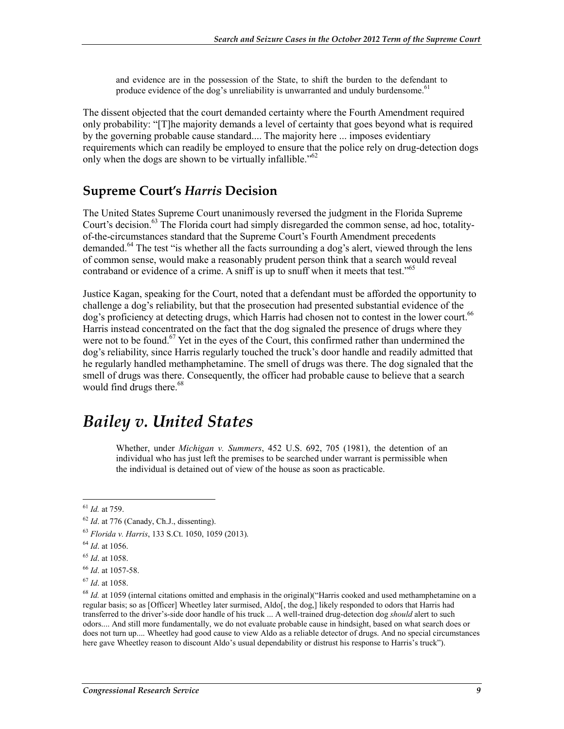and evidence are in the possession of the State, to shift the burden to the defendant to produce evidence of the dog's unreliability is unwarranted and unduly burdensome.<sup>61</sup>

The dissent objected that the court demanded certainty where the Fourth Amendment required only probability: "[T]he majority demands a level of certainty that goes beyond what is required by the governing probable cause standard.... The majority here ... imposes evidentiary requirements which can readily be employed to ensure that the police rely on drug-detection dogs only when the dogs are shown to be virtually infallible.<sup> $162$ </sup>

#### **Supreme Court's** *Harris* **Decision**

The United States Supreme Court unanimously reversed the judgment in the Florida Supreme Court's decision.<sup>63</sup> The Florida court had simply disregarded the common sense, ad hoc, totalityof-the-circumstances standard that the Supreme Court's Fourth Amendment precedents demanded.<sup>64</sup> The test "is whether all the facts surrounding a dog's alert, viewed through the lens of common sense, would make a reasonably prudent person think that a search would reveal contraband or evidence of a crime. A sniff is up to snuff when it meets that test."<sup>65</sup>

Justice Kagan, speaking for the Court, noted that a defendant must be afforded the opportunity to challenge a dog's reliability, but that the prosecution had presented substantial evidence of the dog's proficiency at detecting drugs, which Harris had chosen not to contest in the lower court.<sup>66</sup> Harris instead concentrated on the fact that the dog signaled the presence of drugs where they were not to be found.<sup>67</sup> Yet in the eyes of the Court, this confirmed rather than undermined the dog's reliability, since Harris regularly touched the truck's door handle and readily admitted that he regularly handled methamphetamine. The smell of drugs was there. The dog signaled that the smell of drugs was there. Consequently, the officer had probable cause to believe that a search would find drugs there.<sup>68</sup>

## *Bailey v. United States*

Whether, under *Michigan v. Summers*, 452 U.S. 692, 705 (1981), the detention of an individual who has just left the premises to be searched under warrant is permissible when the individual is detained out of view of the house as soon as practicable.

<sup>61</sup> *Id.* at 759.

<sup>62</sup> *Id*. at 776 (Canady, Ch.J., dissenting).

<sup>63</sup> *Florida v. Harris*, 133 S.Ct. 1050, 1059 (2013).

<sup>64</sup> *Id*. at 1056.

<sup>65</sup> *Id*. at 1058.

<sup>66</sup> *Id*. at 1057-58.

<sup>67</sup> *Id*. at 1058.

<sup>&</sup>lt;sup>68</sup> *Id.* at 1059 (internal citations omitted and emphasis in the original)("Harris cooked and used methamphetamine on a regular basis; so as [Officer] Wheetley later surmised, Aldo[, the dog,] likely responded to odors that Harris had transferred to the driver's-side door handle of his truck ... A well-trained drug-detection dog *should* alert to such odors.... And still more fundamentally, we do not evaluate probable cause in hindsight, based on what search does or does not turn up.... Wheetley had good cause to view Aldo as a reliable detector of drugs. And no special circumstances here gave Wheetley reason to discount Aldo's usual dependability or distrust his response to Harris's truck").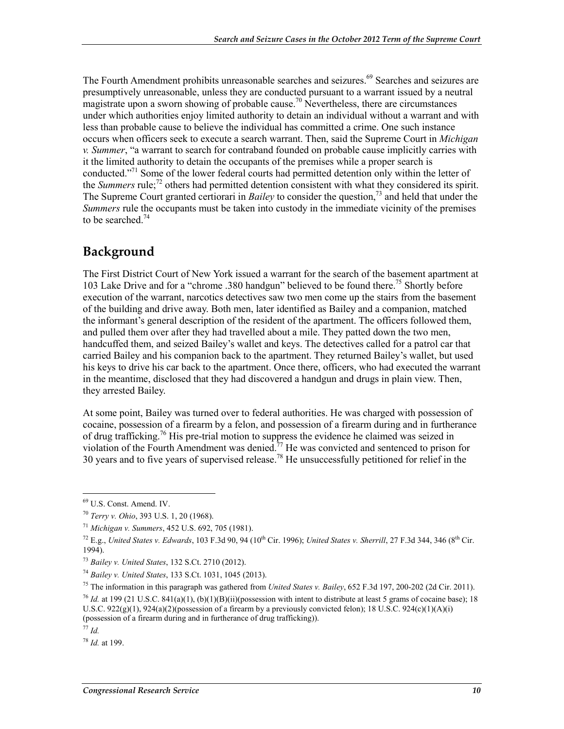The Fourth Amendment prohibits unreasonable searches and seizures.<sup>69</sup> Searches and seizures are presumptively unreasonable, unless they are conducted pursuant to a warrant issued by a neutral magistrate upon a sworn showing of probable cause.<sup>70</sup> Nevertheless, there are circumstances under which authorities enjoy limited authority to detain an individual without a warrant and with less than probable cause to believe the individual has committed a crime. One such instance occurs when officers seek to execute a search warrant. Then, said the Supreme Court in *Michigan v. Summer*, "a warrant to search for contraband founded on probable cause implicitly carries with it the limited authority to detain the occupants of the premises while a proper search is conducted."71 Some of the lower federal courts had permitted detention only within the letter of the *Summers* rule;72 others had permitted detention consistent with what they considered its spirit. The Supreme Court granted certiorari in *Bailey* to consider the question,<sup>73</sup> and held that under the *Summers* rule the occupants must be taken into custody in the immediate vicinity of the premises to be searched. $74$ 

#### **Background**

The First District Court of New York issued a warrant for the search of the basement apartment at 103 Lake Drive and for a "chrome .380 handgun" believed to be found there.75 Shortly before execution of the warrant, narcotics detectives saw two men come up the stairs from the basement of the building and drive away. Both men, later identified as Bailey and a companion, matched the informant's general description of the resident of the apartment. The officers followed them, and pulled them over after they had travelled about a mile. They patted down the two men, handcuffed them, and seized Bailey's wallet and keys. The detectives called for a patrol car that carried Bailey and his companion back to the apartment. They returned Bailey's wallet, but used his keys to drive his car back to the apartment. Once there, officers, who had executed the warrant in the meantime, disclosed that they had discovered a handgun and drugs in plain view. Then, they arrested Bailey.

At some point, Bailey was turned over to federal authorities. He was charged with possession of cocaine, possession of a firearm by a felon, and possession of a firearm during and in furtherance of drug trafficking.<sup>76</sup> His pre-trial motion to suppress the evidence he claimed was seized in violation of the Fourth Amendment was denied.<sup>77</sup> He was convicted and sentenced to prison for 30 years and to five years of supervised release.<sup>78</sup> He unsuccessfully petitioned for relief in the

<u>.</u>

<sup>78</sup> *Id.* at 199.

<sup>69</sup> U.S. Const. Amend. IV.

<sup>70</sup> *Terry v. Ohio*, 393 U.S. 1, 20 (1968).

<sup>71</sup> *Michigan v. Summers*, 452 U.S. 692, 705 (1981).

 $^{72}$  E.g., *United States v. Edwards*, 103 F.3d 90, 94 (10<sup>th</sup> Cir. 1996); *United States v. Sherrill*, 27 F.3d 344, 346 (8<sup>th</sup> Cir. 1994).

<sup>73</sup> *Bailey v. United States*, 132 S.Ct. 2710 (2012).

<sup>74</sup> *Bailey v. United States*, 133 S.Ct. 1031, 1045 (2013).

<sup>75</sup> The information in this paragraph was gathered from *United States v. Bailey*, 652 F.3d 197, 200-202 (2d Cir. 2011).

<sup>&</sup>lt;sup>76</sup> *Id.* at 199 (21 U.S.C. 841(a)(1), (b)(1)(B)(ii)(possession with intent to distribute at least 5 grams of cocaine base); 18 U.S.C.  $922(g)(1)$ ,  $924(a)(2)(possession of a firearm by a previously convicted felon); 18 U.S.C. 924(c)(1)(A)(i)$ (possession of a firearm during and in furtherance of drug trafficking)).

<sup>77</sup> *Id.*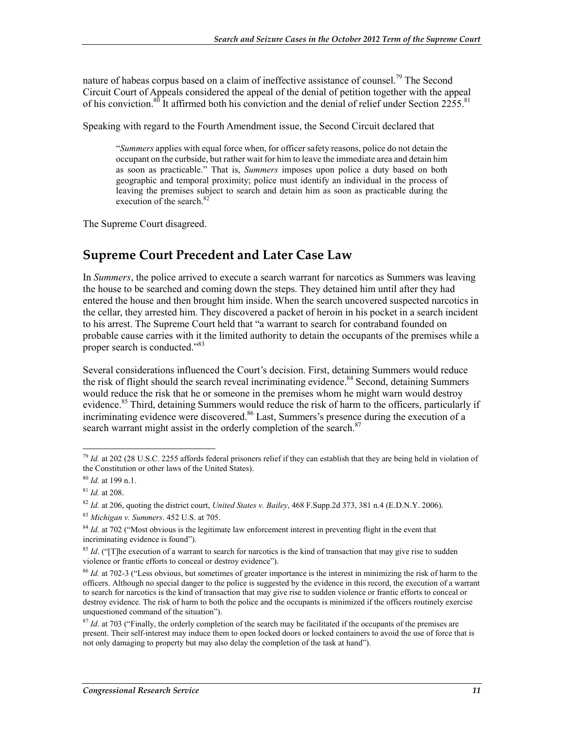nature of habeas corpus based on a claim of ineffective assistance of counsel.<sup>79</sup> The Second Circuit Court of Appeals considered the appeal of the denial of petition together with the appeal of his conviction.<sup>80</sup> It affirmed both his conviction and the denial of relief under Section 2255.<sup>81</sup>

Speaking with regard to the Fourth Amendment issue, the Second Circuit declared that

"*Summers* applies with equal force when, for officer safety reasons, police do not detain the occupant on the curbside, but rather wait for him to leave the immediate area and detain him as soon as practicable." That is, *Summers* imposes upon police a duty based on both geographic and temporal proximity; police must identify an individual in the process of leaving the premises subject to search and detain him as soon as practicable during the execution of the search.<sup>82</sup>

The Supreme Court disagreed.

#### **Supreme Court Precedent and Later Case Law**

In *Summers*, the police arrived to execute a search warrant for narcotics as Summers was leaving the house to be searched and coming down the steps. They detained him until after they had entered the house and then brought him inside. When the search uncovered suspected narcotics in the cellar, they arrested him. They discovered a packet of heroin in his pocket in a search incident to his arrest. The Supreme Court held that "a warrant to search for contraband founded on probable cause carries with it the limited authority to detain the occupants of the premises while a proper search is conducted."83

Several considerations influenced the Court's decision. First, detaining Summers would reduce the risk of flight should the search reveal incriminating evidence.<sup>84</sup> Second, detaining Summers would reduce the risk that he or someone in the premises whom he might warn would destroy evidence.<sup>85</sup> Third, detaining Summers would reduce the risk of harm to the officers, particularly if incriminating evidence were discovered.<sup>86</sup> Last, Summers's presence during the execution of a search warrant might assist in the orderly completion of the search.<sup>87</sup>

<sup>79</sup> *Id.* at 202 (28 U.S.C. 2255 affords federal prisoners relief if they can establish that they are being held in violation of the Constitution or other laws of the United States).

<sup>80</sup> *Id.* at 199 n.1.

<sup>81</sup> *Id.* at 208.

<sup>82</sup> *Id.* at 206, quoting the district court, *United States v. Bailey*, 468 F.Supp.2d 373, 381 n.4 (E.D.N.Y. 2006).

<sup>83</sup> *Michigan v. Summers*. 452 U.S. at 705.

<sup>&</sup>lt;sup>84</sup> *Id.* at 702 ("Most obvious is the legitimate law enforcement interest in preventing flight in the event that incriminating evidence is found").

<sup>&</sup>lt;sup>85</sup> *Id.* ("[T]he execution of a warrant to search for narcotics is the kind of transaction that may give rise to sudden violence or frantic efforts to conceal or destroy evidence").

<sup>&</sup>lt;sup>86</sup> *Id.* at 702-3 ("Less obvious, but sometimes of greater importance is the interest in minimizing the risk of harm to the officers. Although no special danger to the police is suggested by the evidence in this record, the execution of a warrant to search for narcotics is the kind of transaction that may give rise to sudden violence or frantic efforts to conceal or destroy evidence. The risk of harm to both the police and the occupants is minimized if the officers routinely exercise unquestioned command of the situation").

<sup>&</sup>lt;sup>87</sup> *Id.* at 703 ("Finally, the orderly completion of the search may be facilitated if the occupants of the premises are present. Their self-interest may induce them to open locked doors or locked containers to avoid the use of force that is not only damaging to property but may also delay the completion of the task at hand").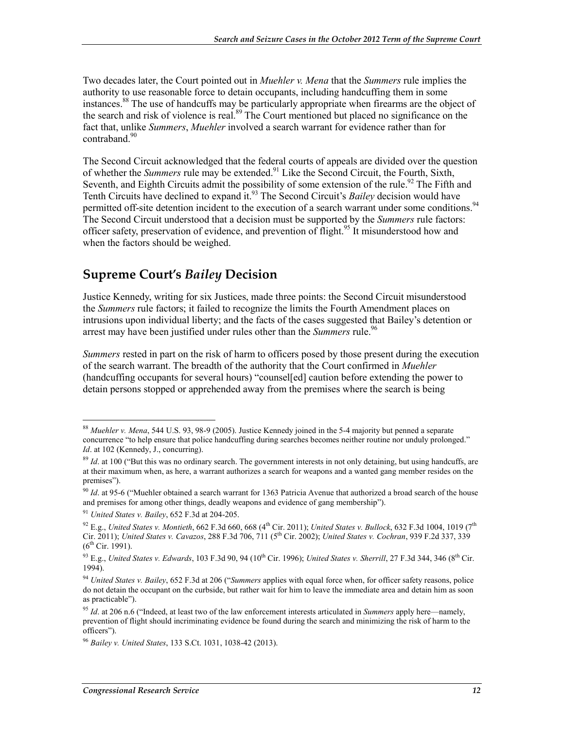Two decades later, the Court pointed out in *Muehler v. Mena* that the *Summers* rule implies the authority to use reasonable force to detain occupants, including handcuffing them in some instances.<sup>88</sup> The use of handcuffs may be particularly appropriate when firearms are the object of the search and risk of violence is real.89 The Court mentioned but placed no significance on the fact that, unlike *Summers*, *Muehler* involved a search warrant for evidence rather than for contraband.<sup>90</sup>

The Second Circuit acknowledged that the federal courts of appeals are divided over the question of whether the *Summers* rule may be extended.<sup>91</sup> Like the Second Circuit, the Fourth, Sixth, Seventh, and Eighth Circuits admit the possibility of some extension of the rule.<sup>92</sup> The Fifth and Tenth Circuits have declined to expand it.<sup>93</sup> The Second Circuit's *Bailey* decision would have permitted off-site detention incident to the execution of a search warrant under some conditions.<sup>94</sup> The Second Circuit understood that a decision must be supported by the *Summers* rule factors: officer safety, preservation of evidence, and prevention of flight.<sup>95</sup> It misunderstood how and when the factors should be weighed.

#### **Supreme Court's** *Bailey* **Decision**

Justice Kennedy, writing for six Justices, made three points: the Second Circuit misunderstood the *Summers* rule factors; it failed to recognize the limits the Fourth Amendment places on intrusions upon individual liberty; and the facts of the cases suggested that Bailey's detention or arrest may have been justified under rules other than the *Summers* rule.<sup>96</sup>

*Summers* rested in part on the risk of harm to officers posed by those present during the execution of the search warrant. The breadth of the authority that the Court confirmed in *Muehler* (handcuffing occupants for several hours) "counsel[ed] caution before extending the power to detain persons stopped or apprehended away from the premises where the search is being

<sup>88</sup> *Muehler v. Mena*, 544 U.S. 93, 98-9 (2005). Justice Kennedy joined in the 5-4 majority but penned a separate concurrence "to help ensure that police handcuffing during searches becomes neither routine nor unduly prolonged." *Id.* at 102 (Kennedy, J., concurring).

<sup>&</sup>lt;sup>89</sup> *Id.* at 100 ("But this was no ordinary search. The government interests in not only detaining, but using handcuffs, are at their maximum when, as here, a warrant authorizes a search for weapons and a wanted gang member resides on the premises").

<sup>&</sup>lt;sup>90</sup> *Id.* at 95-6 ("Muehler obtained a search warrant for 1363 Patricia Avenue that authorized a broad search of the house and premises for among other things, deadly weapons and evidence of gang membership").

<sup>91</sup> *United States v. Bailey*, 652 F.3d at 204-205.

 $^{92}$  E.g., *United States v. Montieth*, 662 F.3d 660, 668 (4<sup>th</sup> Cir. 2011); *United States v. Bullock*, 632 F.3d 1004, 1019 (7<sup>th</sup> Cir. 2011); *United States v. Cavazos*, 288 F.3d 706, 711 (5th Cir. 2002); *United States v. Cochran*, 939 F.2d 337, 339  $(6^{th}$  Cir. 1991).

<sup>&</sup>lt;sup>93</sup> E.g., *United States v. Edwards*, 103 F.3d 90, 94 (10<sup>th</sup> Cir. 1996); *United States v. Sherrill*, 27 F.3d 344, 346 (8<sup>th</sup> Cir. 1994).

<sup>94</sup> *United States v. Bailey*, 652 F.3d at 206 ("*Summers* applies with equal force when, for officer safety reasons, police do not detain the occupant on the curbside, but rather wait for him to leave the immediate area and detain him as soon as practicable").

<sup>95</sup> *Id*. at 206 n.6 ("Indeed, at least two of the law enforcement interests articulated in *Summers* apply here—namely, prevention of flight should incriminating evidence be found during the search and minimizing the risk of harm to the officers").

<sup>96</sup> *Bailey v. United States*, 133 S.Ct. 1031, 1038-42 (2013).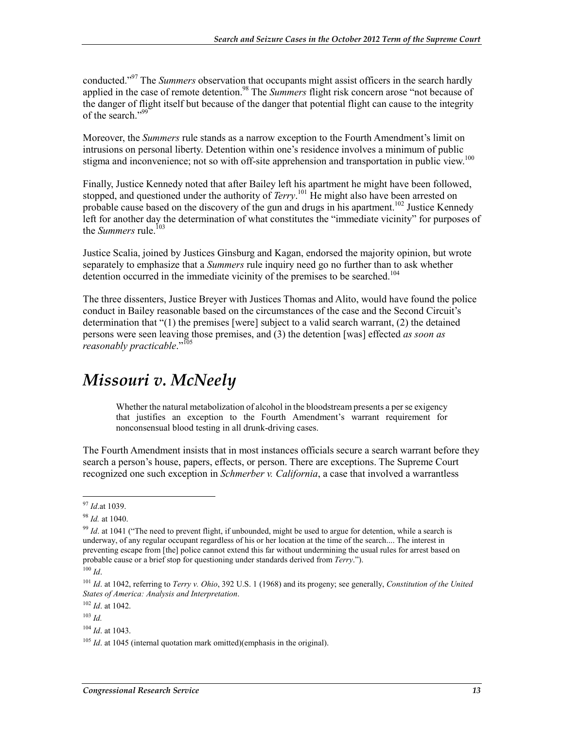conducted."97 The *Summers* observation that occupants might assist officers in the search hardly applied in the case of remote detention.<sup>98</sup> The *Summers* flight risk concern arose "not because of the danger of flight itself but because of the danger that potential flight can cause to the integrity of the search<sup>"99</sup>

Moreover, the *Summers* rule stands as a narrow exception to the Fourth Amendment's limit on intrusions on personal liberty. Detention within one's residence involves a minimum of public stigma and inconvenience; not so with off-site apprehension and transportation in public view.<sup>100</sup>

Finally, Justice Kennedy noted that after Bailey left his apartment he might have been followed, stopped, and questioned under the authority of *Terry*.<sup>101</sup> He might also have been arrested on probable cause based on the discovery of the gun and drugs in his apartment.<sup>102</sup> Justice Kennedy left for another day the determination of what constitutes the "immediate vicinity" for purposes of the *Summers* rule.<sup>103</sup>

Justice Scalia, joined by Justices Ginsburg and Kagan, endorsed the majority opinion, but wrote separately to emphasize that a *Summers* rule inquiry need go no further than to ask whether detention occurred in the immediate vicinity of the premises to be searched.<sup>104</sup>

The three dissenters, Justice Breyer with Justices Thomas and Alito, would have found the police conduct in Bailey reasonable based on the circumstances of the case and the Second Circuit's determination that "(1) the premises [were] subject to a valid search warrant, (2) the detained persons were seen leaving those premises, and (3) the detention [was] effected *as soon as reasonably practicable.*"<sup>105</sup>

### *Missouri v. McNeely*

Whether the natural metabolization of alcohol in the bloodstream presents a per se exigency that justifies an exception to the Fourth Amendment's warrant requirement for nonconsensual blood testing in all drunk-driving cases.

The Fourth Amendment insists that in most instances officials secure a search warrant before they search a person's house, papers, effects, or person. There are exceptions. The Supreme Court recognized one such exception in *Schmerber v. California*, a case that involved a warrantless

<sup>97</sup> *Id*.at 1039.

<sup>98</sup> *Id.* at 1040.

<sup>99</sup> *Id*. at 1041 ("The need to prevent flight, if unbounded, might be used to argue for detention, while a search is underway, of any regular occupant regardless of his or her location at the time of the search.... The interest in preventing escape from [the] police cannot extend this far without undermining the usual rules for arrest based on probable cause or a brief stop for questioning under standards derived from *Terry*.").

 $100$  *Id.* 

<sup>101</sup> *Id*. at 1042, referring to *Terry v. Ohio*, 392 U.S. 1 (1968) and its progeny; see generally, *Constitution of the United States of America: Analysis and Interpretation*.

<sup>102</sup> *Id*. at 1042.

<sup>103</sup> *Id.* 

<sup>104</sup> *Id*. at 1043.

<sup>&</sup>lt;sup>105</sup> *Id.* at 1045 (internal quotation mark omitted)(emphasis in the original).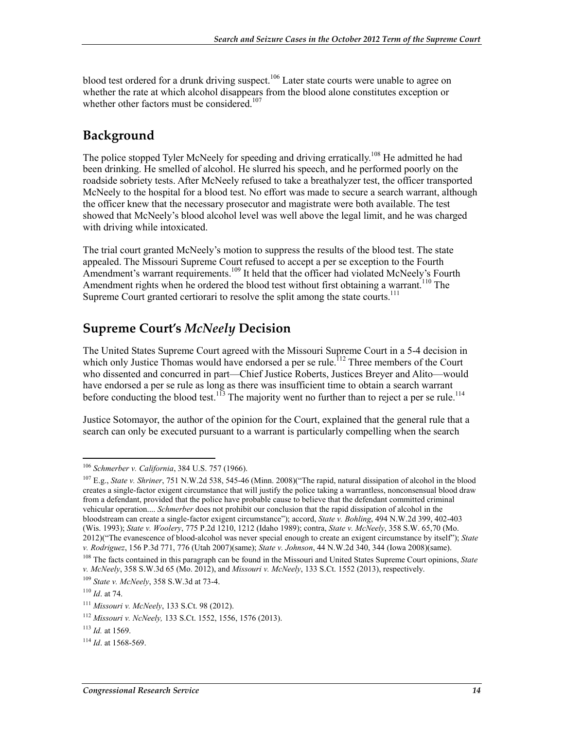blood test ordered for a drunk driving suspect.<sup>106</sup> Later state courts were unable to agree on whether the rate at which alcohol disappears from the blood alone constitutes exception or whether other factors must be considered.<sup>107</sup>

#### **Background**

The police stopped Tyler McNeely for speeding and driving erratically.<sup>108</sup> He admitted he had been drinking. He smelled of alcohol. He slurred his speech, and he performed poorly on the roadside sobriety tests. After McNeely refused to take a breathalyzer test, the officer transported McNeely to the hospital for a blood test. No effort was made to secure a search warrant, although the officer knew that the necessary prosecutor and magistrate were both available. The test showed that McNeely's blood alcohol level was well above the legal limit, and he was charged with driving while intoxicated.

The trial court granted McNeely's motion to suppress the results of the blood test. The state appealed. The Missouri Supreme Court refused to accept a per se exception to the Fourth Amendment's warrant requirements.<sup>109</sup> It held that the officer had violated McNeely's Fourth Amendment rights when he ordered the blood test without first obtaining a warrant.<sup>110</sup> The Supreme Court granted certiorari to resolve the split among the state courts.<sup>111</sup>

#### **Supreme Court's** *McNeely* **Decision**

The United States Supreme Court agreed with the Missouri Supreme Court in a 5-4 decision in which only Justice Thomas would have endorsed a per se rule.<sup>112</sup> Three members of the Court who dissented and concurred in part—Chief Justice Roberts, Justices Breyer and Alito—would have endorsed a per se rule as long as there was insufficient time to obtain a search warrant before conducting the blood test.<sup>113</sup> The majority went no further than to reject a per se rule.<sup>114</sup>

Justice Sotomayor, the author of the opinion for the Court, explained that the general rule that a search can only be executed pursuant to a warrant is particularly compelling when the search

<sup>106</sup> *Schmerber v. California*, 384 U.S. 757 (1966).

<sup>107</sup> E.g., *State v. Shriner*, 751 N.W.2d 538, 545-46 (Minn. 2008)("The rapid, natural dissipation of alcohol in the blood creates a single-factor exigent circumstance that will justify the police taking a warrantless, nonconsensual blood draw from a defendant, provided that the police have probable cause to believe that the defendant committed criminal vehicular operation.... *Schmerber* does not prohibit our conclusion that the rapid dissipation of alcohol in the bloodstream can create a single-factor exigent circumstance"); accord, *State v. Bohling*, 494 N.W.2d 399, 402-403 (Wis. 1993); *State v. Woolery*, 775 P.2d 1210, 1212 (Idaho 1989); contra, *State v. McNeely*, 358 S.W. 65,70 (Mo. 2012)("The evanescence of blood-alcohol was never special enough to create an exigent circumstance by itself"); *State v. Rodriguez*, 156 P.3d 771, 776 (Utah 2007)(same); *State v. Johnson*, 44 N.W.2d 340, 344 (Iowa 2008)(same).

<sup>108</sup> The facts contained in this paragraph can be found in the Missouri and United States Supreme Court opinions, *State v. McNeely*, 358 S.W.3d 65 (Mo. 2012), and *Missouri v. McNeely*, 133 S.Ct. 1552 (2013), respectively.

<sup>109</sup> *State v. McNeely*, 358 S.W.3d at 73-4.

<sup>110</sup> *Id*. at 74.

<sup>111</sup> *Missouri v. McNeely*, 133 S.Ct. 98 (2012).

<sup>112</sup> *Missouri v. NcNeely,* 133 S.Ct. 1552, 1556, 1576 (2013).

<sup>113</sup> *Id.* at 1569.

<sup>114</sup> *Id*. at 1568-569.